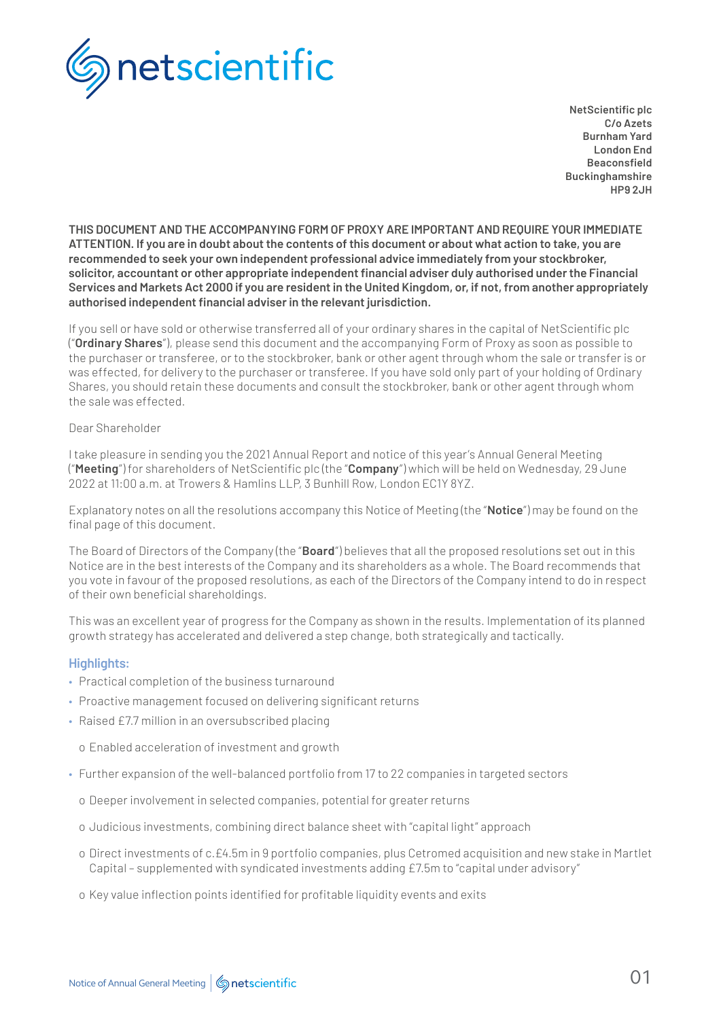

**NetScientific plc C/o Azets Burnham Yard London End Beaconsfield Buckinghamshire HP9 2JH**

**THIS DOCUMENT AND THE ACCOMPANYING FORM OF PROXY ARE IMPORTANT AND REQUIRE YOUR IMMEDIATE ATTENTION. If you are in doubt about the contents of this document or about what action to take, you are recommended to seek your own independent professional advice immediately from your stockbroker, solicitor, accountant or other appropriate independent financial adviser duly authorised under the Financial Services and Markets Act 2000 if you are resident in the United Kingdom, or, if not, from another appropriately authorised independent financial adviser in the relevant jurisdiction.**

If you sell or have sold or otherwise transferred all of your ordinary shares in the capital of NetScientific plc ("**Ordinary Shares**"), please send this document and the accompanying Form of Proxy as soon as possible to the purchaser or transferee, or to the stockbroker, bank or other agent through whom the sale or transfer is or was effected, for delivery to the purchaser or transferee. If you have sold only part of your holding of Ordinary Shares, you should retain these documents and consult the stockbroker, bank or other agent through whom the sale was effected.

#### Dear Shareholder

I take pleasure in sending you the 2021 Annual Report and notice of this year's Annual General Meeting ("**Meeting**") for shareholders of NetScientific plc (the "**Company**") which will be held on Wednesday, 29 June 2022 at 11:00 a.m. at Trowers & Hamlins LLP, 3 Bunhill Row, London EC1Y 8YZ.

Explanatory notes on all the resolutions accompany this Notice of Meeting (the "**Notice**") may be found on the final page of this document.

The Board of Directors of the Company (the "**Board**") believes that all the proposed resolutions set out in this Notice are in the best interests of the Company and its shareholders as a whole. The Board recommends that you vote in favour of the proposed resolutions, as each of the Directors of the Company intend to do in respect of their own beneficial shareholdings.

This was an excellent year of progress for the Company as shown in the results. Implementation of its planned growth strategy has accelerated and delivered a step change, both strategically and tactically.

## **Highlights:**

- Practical completion of the business turnaround
- Proactive management focused on delivering significant returns
- Raised £7.7 million in an oversubscribed placing

o Enabled acceleration of investment and growth

- Further expansion of the well-balanced portfolio from 17 to 22 companies in targeted sectors
	- o Deeper involvement in selected companies, potential for greater returns
	- o Judicious investments, combining direct balance sheet with "capital light" approach
	- o Direct investments of c.£4.5m in 9 portfolio companies, plus Cetromed acquisition and new stake in Martlet Capital – supplemented with syndicated investments adding £7.5m to "capital under advisory"
	- o Key value inflection points identified for profitable liquidity events and exits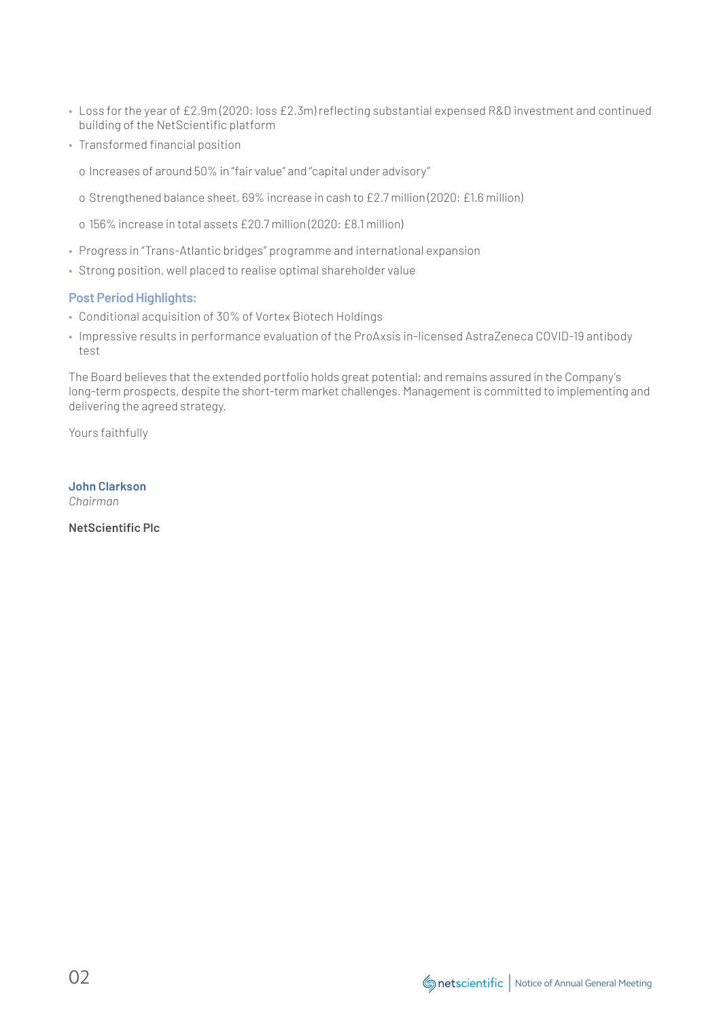- Loss for the year of £2.9m (2020: loss £2.3m) reflecting substantial expensed R&D investment and continued building of the NetScientific platform
- Transformed financial position
	- o Increases of around 50% in "fair value" and "capital under advisory"
	- o Strengthened balance sheet, 69% increase in cash to £2.7 million (2020: £1.6 million)
	- o 156% increase in total assets £20.7 million (2020: £8.1 million)
- Progress in "Trans-Atlantic bridges" programme and international expansion
- Strong position, well placed to realise optimal shareholder value

## **Post Period Highlights:**

- Conditional acquisition of 30% of Vortex Biotech Holdings
- Impressive results in performance evaluation of the ProAxsis in-licensed AstraZeneca COVID-19 antibody test

The Board believes that the extended portfolio holds great potential; and remains assured in the Company's long-term prospects, despite the short-term market challenges. Management is committed to implementing and delivering the agreed strategy.

Yours faithfully

**John Clarkson** *Chairman*

**NetScientific Plc**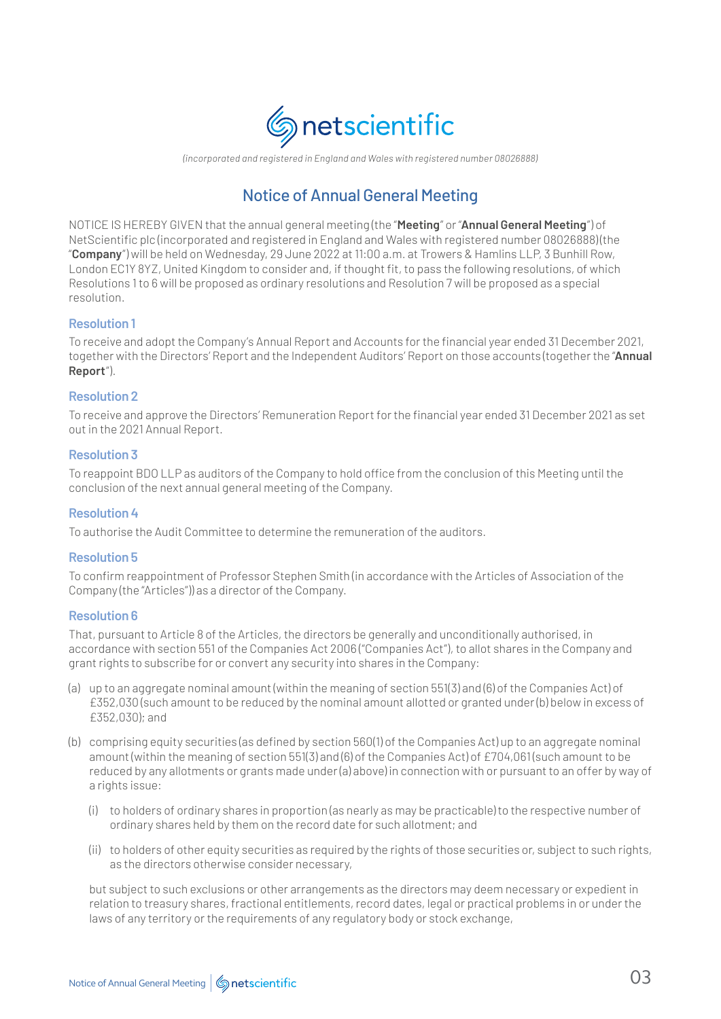

*(incorporated and registered in England and Wales with registered number 08026888)*

# Notice of Annual General Meeting

NOTICE IS HEREBY GIVEN that the annual general meeting (the "**Meeting**" or "**Annual General Meeting**") of NetScientific plc (incorporated and registered in England and Wales with registered number 08026888) (the "**Company**") will be held on Wednesday, 29 June 2022 at 11:00 a.m. at Trowers & Hamlins LLP, 3 Bunhill Row, London EC1Y 8YZ, United Kingdom to consider and, if thought fit, to pass the following resolutions, of which Resolutions 1 to 6 will be proposed as ordinary resolutions and Resolution 7 will be proposed as a special resolution.

#### **Resolution 1**

To receive and adopt the Company's Annual Report and Accounts for the financial year ended 31 December 2021, together with the Directors' Report and the Independent Auditors' Report on those accounts (together the "**Annual Report**").

## **Resolution 2**

To receive and approve the Directors' Remuneration Report for the financial year ended 31 December 2021 as set out in the 2021 Annual Report.

#### **Resolution 3**

To reappoint BDO LLP as auditors of the Company to hold office from the conclusion of this Meeting until the conclusion of the next annual general meeting of the Company.

#### **Resolution 4**

To authorise the Audit Committee to determine the remuneration of the auditors.

#### **Resolution 5**

To confirm reappointment of Professor Stephen Smith (in accordance with the Articles of Association of the Company (the "Articles")) as a director of the Company.

#### **Resolution 6**

That, pursuant to Article 8 of the Articles, the directors be generally and unconditionally authorised, in accordance with section 551 of the Companies Act 2006 ("Companies Act"), to allot shares in the Company and grant rights to subscribe for or convert any security into shares in the Company:

- (a) up to an aggregate nominal amount (within the meaning of section 551(3) and (6) of the Companies Act) of £352,030 (such amount to be reduced by the nominal amount allotted or granted under (b) below in excess of £352,030); and
- (b) comprising equity securities (as defined by section 560(1) of the Companies Act) up to an aggregate nominal amount (within the meaning of section 551(3) and (6) of the Companies Act) of £704,061 (such amount to be reduced by any allotments or grants made under (a) above) in connection with or pursuant to an offer by way of a rights issue:
	- (i) to holders of ordinary shares in proportion (as nearly as may be practicable) to the respective number of ordinary shares held by them on the record date for such allotment; and
	- (ii) to holders of other equity securities as required by the rights of those securities or, subject to such rights, as the directors otherwise consider necessary,

 but subject to such exclusions or other arrangements as the directors may deem necessary or expedient in relation to treasury shares, fractional entitlements, record dates, legal or practical problems in or under the laws of any territory or the requirements of any regulatory body or stock exchange,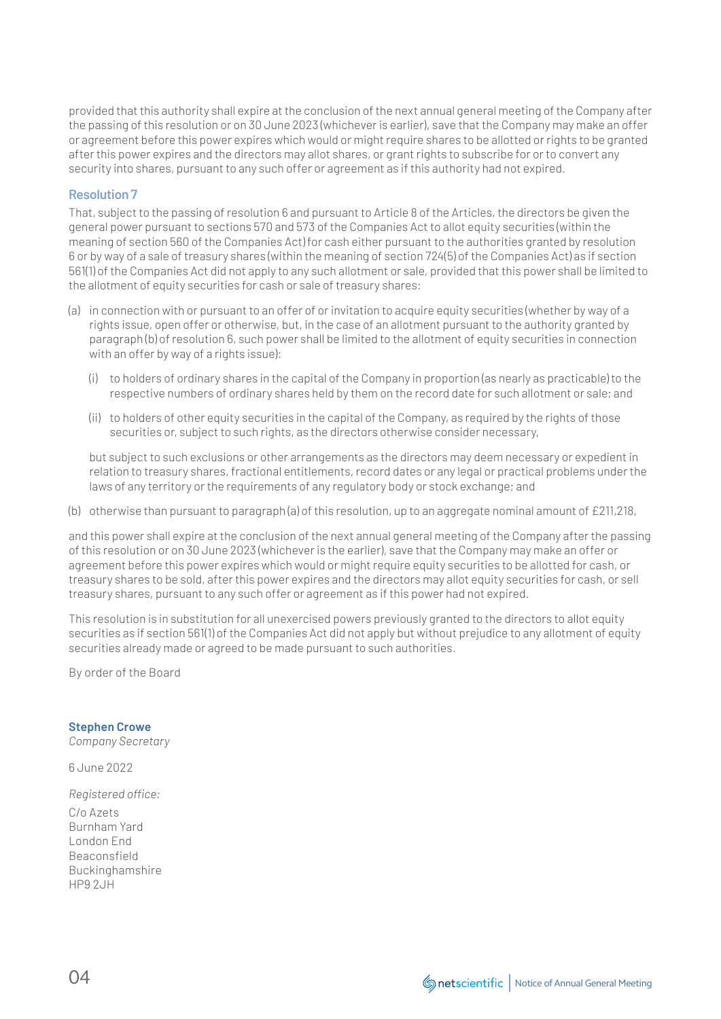provided that this authority shall expire at the conclusion of the next annual general meeting of the Company after the passing of this resolution or on 30 June 2023 (whichever is earlier), save that the Company may make an offer or agreement before this power expires which would or might require shares to be allotted or rights to be granted after this power expires and the directors may allot shares, or grant rights to subscribe for or to convert any security into shares, pursuant to any such offer or agreement as if this authority had not expired.

# **Resolution 7**

That, subject to the passing of resolution 6 and pursuant to Article 8 of the Articles, the directors be given the general power pursuant to sections 570 and 573 of the Companies Act to allot equity securities (within the meaning of section 560 of the Companies Act) for cash either pursuant to the authorities granted by resolution 6 or by way of a sale of treasury shares (within the meaning of section 724(5) of the Companies Act) as if section 561(1) of the Companies Act did not apply to any such allotment or sale, provided that this power shall be limited to the allotment of equity securities for cash or sale of treasury shares:

- (a) in connection with or pursuant to an offer of or invitation to acquire equity securities (whether by way of a rights issue, open offer or otherwise, but, in the case of an allotment pursuant to the authority granted by paragraph (b) of resolution 6, such power shall be limited to the allotment of equity securities in connection with an offer by way of a rights issue):
	- (i) to holders of ordinary shares in the capital of the Company in proportion (as nearly as practicable) to the respective numbers of ordinary shares held by them on the record date for such allotment or sale; and
	- (ii) to holders of other equity securities in the capital of the Company, as required by the rights of those securities or, subject to such rights, as the directors otherwise consider necessary,

 but subject to such exclusions or other arrangements as the directors may deem necessary or expedient in relation to treasury shares, fractional entitlements, record dates or any legal or practical problems under the laws of any territory or the requirements of any regulatory body or stock exchange; and

(b) otherwise than pursuant to paragraph (a) of this resolution, up to an aggregate nominal amount of £211,218,

and this power shall expire at the conclusion of the next annual general meeting of the Company after the passing of this resolution or on 30 June 2023 (whichever is the earlier), save that the Company may make an offer or agreement before this power expires which would or might require equity securities to be allotted for cash, or treasury shares to be sold, after this power expires and the directors may allot equity securities for cash, or sell treasury shares, pursuant to any such offer or agreement as if this power had not expired.

This resolution is in substitution for all unexercised powers previously granted to the directors to allot equity securities as if section 561(1) of the Companies Act did not apply but without prejudice to any allotment of equity securities already made or agreed to be made pursuant to such authorities.

By order of the Board

## **Stephen Crowe**

*Company Secretary*

6 June 2022

*Registered office:*  C/o Azets Burnham Yard London End Beaconsfield Buckinghamshire HP9 2JH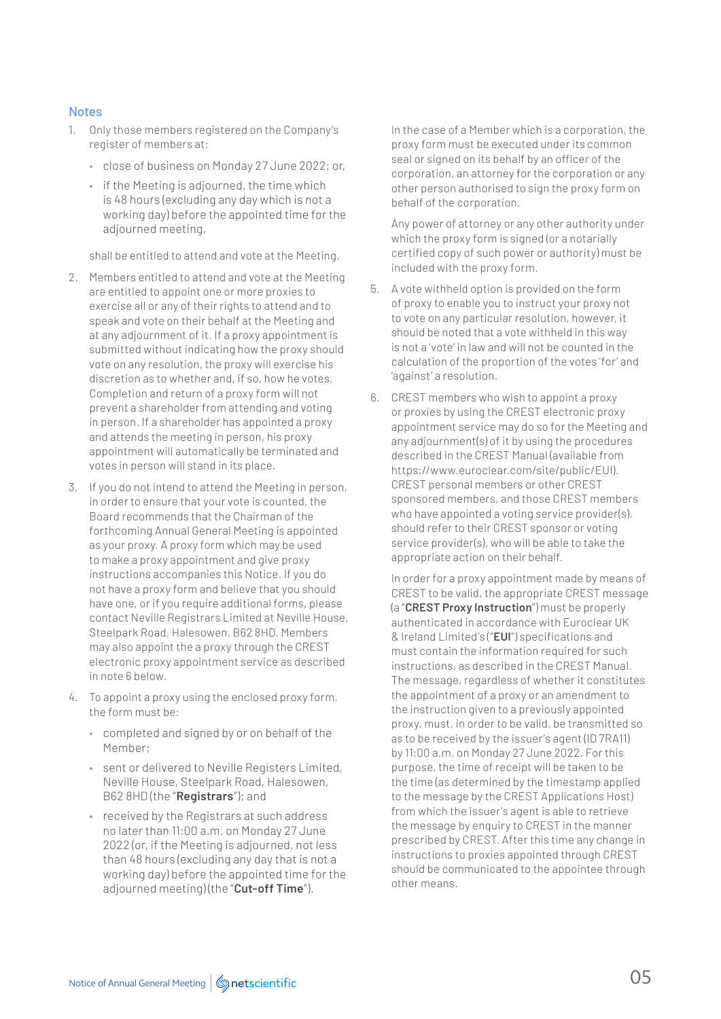#### **Notes**

- 1. Only those members registered on the Company's register of members at:
	- close of business on Monday 27 June 2022; or,
	- if the Meeting is adjourned, the time which is 48 hours (excluding any day which is not a working day) before the appointed time for the adjourned meeting,

shall be entitled to attend and vote at the Meeting.

- 2. Members entitled to attend and vote at the Meeting are entitled to appoint one or more proxies to exercise all or any of their rights to attend and to speak and vote on their behalf at the Meeting and at any adjournment of it. If a proxy appointment is submitted without indicating how the proxy should vote on any resolution, the proxy will exercise his discretion as to whether and, if so, how he votes. Completion and return of a proxy form will not prevent a shareholder from attending and voting in person. If a shareholder has appointed a proxy and attends the meeting in person, his proxy appointment will automatically be terminated and votes in person will stand in its place.
- 3. If you do not intend to attend the Meeting in person, in order to ensure that your vote is counted, the Board recommends that the Chairman of the forthcoming Annual General Meeting is appointed as your proxy. A proxy form which may be used to make a proxy appointment and give proxy instructions accompanies this Notice. If you do not have a proxy form and believe that you should have one, or if you require additional forms, please contact Neville Registrars Limited at Neville House, Steelpark Road, Halesowen, B62 8HD. Members may also appoint the a proxy through the CREST electronic proxy appointment service as described in note 6 below.
- 4. To appoint a proxy using the enclosed proxy form, the form must be:
	- completed and signed by or on behalf of the Member;
	- sent or delivered to Neville Registers Limited, Neville House, Steelpark Road, Halesowen, B62 8HD (the "**Registrars**"); and
	- received by the Registrars at such address no later than 11:00 a.m. on Monday 27 June 2022 (or, if the Meeting is adjourned, not less than 48 hours (excluding any day that is not a working day) before the appointed time for the adjourned meeting) (the "**Cut-off Time**").

 In the case of a Member which is a corporation, the proxy form must be executed under its common seal or signed on its behalf by an officer of the corporation, an attorney for the corporation or any other person authorised to sign the proxy form on behalf of the corporation.

 Any power of attorney or any other authority under which the proxy form is signed (or a notarially certified copy of such power or authority) must be included with the proxy form.

- 5. A vote withheld option is provided on the form of proxy to enable you to instruct your proxy not to vote on any particular resolution, however, it should be noted that a vote withheld in this way is not a 'vote' in law and will not be counted in the calculation of the proportion of the votes 'for' and 'against' a resolution.
- 6. CREST members who wish to appoint a proxy or proxies by using the CREST electronic proxy appointment service may do so for the Meeting and any adjournment(s) of it by using the procedures described in the CREST Manual (available from https://www.euroclear.com/site/public/EUI). CREST personal members or other CREST sponsored members, and those CREST members who have appointed a voting service provider(s), should refer to their CREST sponsor or voting service provider(s), who will be able to take the appropriate action on their behalf.

 In order for a proxy appointment made by means of CREST to be valid, the appropriate CREST message (a "**CREST Proxy Instruction**") must be properly authenticated in accordance with Euroclear UK & Ireland Limited's ("**EUI**") specifications and must contain the information required for such instructions, as described in the CREST Manual. The message, regardless of whether it constitutes the appointment of a proxy or an amendment to the instruction given to a previously appointed proxy, must, in order to be valid, be transmitted so as to be received by the issuer's agent (ID 7RA11) by 11:00 a.m. on Monday 27 June 2022. For this purpose, the time of receipt will be taken to be the time (as determined by the timestamp applied to the message by the CREST Applications Host) from which the issuer's agent is able to retrieve the message by enquiry to CREST in the manner prescribed by CREST. After this time any change in instructions to proxies appointed through CREST should be communicated to the appointee through other means.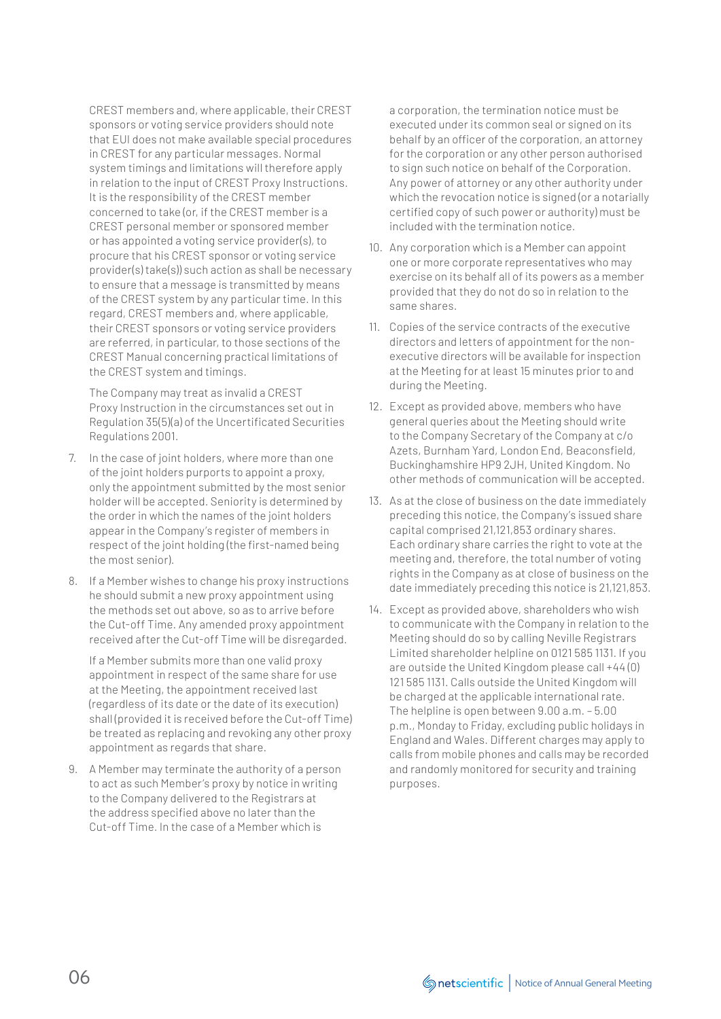CREST members and, where applicable, their CREST sponsors or voting service providers should note that EUI does not make available special procedures in CREST for any particular messages. Normal system timings and limitations will therefore apply in relation to the input of CREST Proxy Instructions. It is the responsibility of the CREST member concerned to take (or, if the CREST member is a CREST personal member or sponsored member or has appointed a voting service provider(s), to procure that his CREST sponsor or voting service provider(s) take(s)) such action as shall be necessary to ensure that a message is transmitted by means of the CREST system by any particular time. In this regard, CREST members and, where applicable, their CREST sponsors or voting service providers are referred, in particular, to those sections of the CREST Manual concerning practical limitations of the CREST system and timings.

 The Company may treat as invalid a CREST Proxy Instruction in the circumstances set out in Regulation 35(5)(a) of the Uncertificated Securities Regulations 2001.

- 7. In the case of joint holders, where more than one of the joint holders purports to appoint a proxy, only the appointment submitted by the most senior holder will be accepted. Seniority is determined by the order in which the names of the joint holders appear in the Company's register of members in respect of the joint holding (the first-named being the most senior).
- 8. If a Member wishes to change his proxy instructions he should submit a new proxy appointment using the methods set out above, so as to arrive before the Cut-off Time. Any amended proxy appointment received after the Cut-off Time will be disregarded.

 If a Member submits more than one valid proxy appointment in respect of the same share for use at the Meeting, the appointment received last (regardless of its date or the date of its execution) shall (provided it is received before the Cut-off Time) be treated as replacing and revoking any other proxy appointment as regards that share.

9. A Member may terminate the authority of a person to act as such Member's proxy by notice in writing to the Company delivered to the Registrars at the address specified above no later than the Cut-off Time. In the case of a Member which is

a corporation, the termination notice must be executed under its common seal or signed on its behalf by an officer of the corporation, an attorney for the corporation or any other person authorised to sign such notice on behalf of the Corporation. Any power of attorney or any other authority under which the revocation notice is signed (or a notarially certified copy of such power or authority) must be included with the termination notice.

- 10. Any corporation which is a Member can appoint one or more corporate representatives who may exercise on its behalf all of its powers as a member provided that they do not do so in relation to the same shares.
- 11. Copies of the service contracts of the executive directors and letters of appointment for the nonexecutive directors will be available for inspection at the Meeting for at least 15 minutes prior to and during the Meeting.
- 12. Except as provided above, members who have general queries about the Meeting should write to the Company Secretary of the Company at c/o Azets, Burnham Yard, London End, Beaconsfield, Buckinghamshire HP9 2JH, United Kingdom. No other methods of communication will be accepted.
- 13. As at the close of business on the date immediately preceding this notice, the Company's issued share capital comprised 21,121,853 ordinary shares. Each ordinary share carries the right to vote at the meeting and, therefore, the total number of voting rights in the Company as at close of business on the date immediately preceding this notice is 21,121,853.
- 14. Except as provided above, shareholders who wish to communicate with the Company in relation to the Meeting should do so by calling Neville Registrars Limited shareholder helpline on 0121 585 1131. If you are outside the United Kingdom please call +44 (0) 121 585 1131. Calls outside the United Kingdom will be charged at the applicable international rate. The helpline is open between 9.00 a.m. – 5.00 p.m., Monday to Friday, excluding public holidays in England and Wales. Different charges may apply to calls from mobile phones and calls may be recorded and randomly monitored for security and training purposes.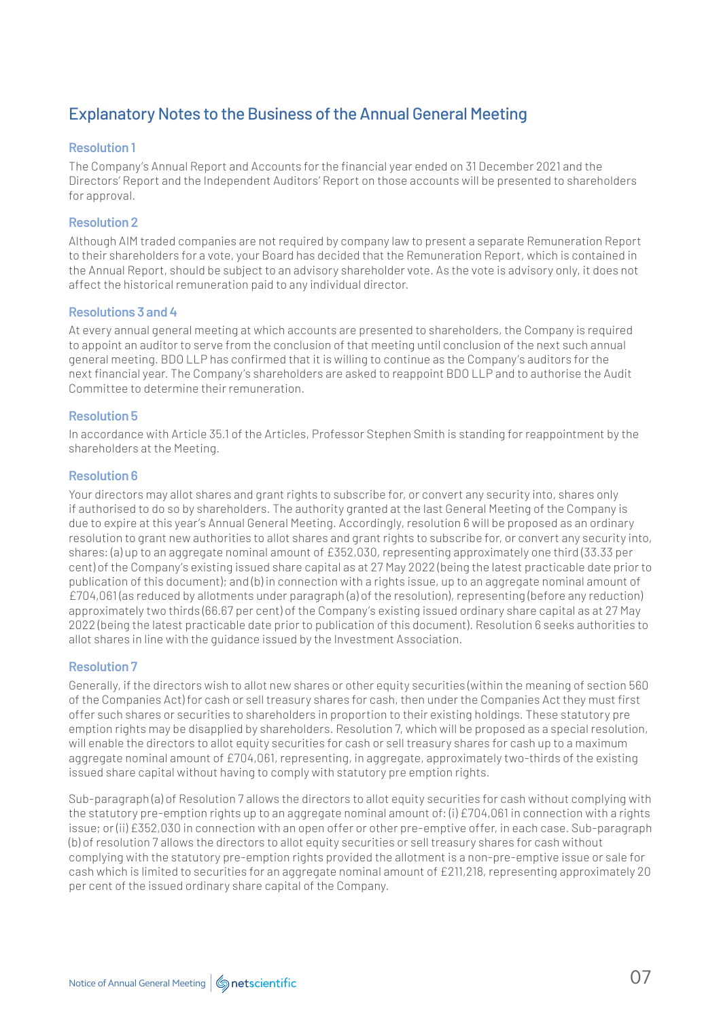# Explanatory Notes to the Business of the Annual General Meeting

# **Resolution 1**

The Company's Annual Report and Accounts for the financial year ended on 31 December 2021 and the Directors' Report and the Independent Auditors' Report on those accounts will be presented to shareholders for approval.

# **Resolution 2**

Although AIM traded companies are not required by company law to present a separate Remuneration Report to their shareholders for a vote, your Board has decided that the Remuneration Report, which is contained in the Annual Report, should be subject to an advisory shareholder vote. As the vote is advisory only, it does not affect the historical remuneration paid to any individual director.

## **Resolutions 3 and 4**

At every annual general meeting at which accounts are presented to shareholders, the Company is required to appoint an auditor to serve from the conclusion of that meeting until conclusion of the next such annual general meeting. BDO LLP has confirmed that it is willing to continue as the Company's auditors for the next financial year. The Company's shareholders are asked to reappoint BDO LLP and to authorise the Audit Committee to determine their remuneration.

## **Resolution 5**

In accordance with Article 35.1 of the Articles, Professor Stephen Smith is standing for reappointment by the shareholders at the Meeting.

## **Resolution 6**

Your directors may allot shares and grant rights to subscribe for, or convert any security into, shares only if authorised to do so by shareholders. The authority granted at the last General Meeting of the Company is due to expire at this year's Annual General Meeting. Accordingly, resolution 6 will be proposed as an ordinary resolution to grant new authorities to allot shares and grant rights to subscribe for, or convert any security into, shares: (a) up to an aggregate nominal amount of £352,030, representing approximately one third (33.33 per cent) of the Company's existing issued share capital as at 27 May 2022 (being the latest practicable date prior to publication of this document); and (b) in connection with a rights issue, up to an aggregate nominal amount of £704,061 (as reduced by allotments under paragraph (a) of the resolution), representing (before any reduction) approximately two thirds (66.67 per cent) of the Company's existing issued ordinary share capital as at 27 May 2022 (being the latest practicable date prior to publication of this document). Resolution 6 seeks authorities to allot shares in line with the guidance issued by the Investment Association.

## **Resolution 7**

Generally, if the directors wish to allot new shares or other equity securities (within the meaning of section 560 of the Companies Act) for cash or sell treasury shares for cash, then under the Companies Act they must first offer such shares or securities to shareholders in proportion to their existing holdings. These statutory pre emption rights may be disapplied by shareholders. Resolution 7, which will be proposed as a special resolution, will enable the directors to allot equity securities for cash or sell treasury shares for cash up to a maximum aggregate nominal amount of £704,061, representing, in aggregate, approximately two-thirds of the existing issued share capital without having to comply with statutory pre emption rights.

Sub-paragraph (a) of Resolution 7 allows the directors to allot equity securities for cash without complying with the statutory pre-emption rights up to an aggregate nominal amount of: (i) £704,061 in connection with a rights issue; or (ii) £352,030 in connection with an open offer or other pre-emptive offer, in each case. Sub-paragraph (b) of resolution 7 allows the directors to allot equity securities or sell treasury shares for cash without complying with the statutory pre-emption rights provided the allotment is a non-pre-emptive issue or sale for cash which is limited to securities for an aggregate nominal amount of £211,218, representing approximately 20 per cent of the issued ordinary share capital of the Company.